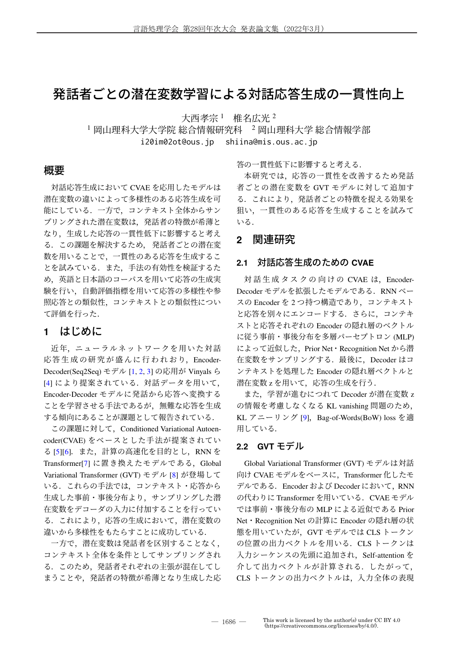# 発話者ごとの潜在変数学習による対話応答生成の一貫性向上

大西孝宗<sup>1</sup> 椎名広光<sup>2</sup>

1 岡山理科大学大学院 総合情報研究科 2 岡山理科大学 総合情報学部

i20im02ot@ous.jp shiina@mis.ous.ac.jp

### 概要

対話応答生成において CVAE を応用したモデルは 潜在変数の違いによって多様性のある応答生成を可 能にしている.一方で,コンテキスト全体からサン プリングされた潜在変数は,発話者の特徴が希薄と なり,生成した応答の一貫性低下に影響すると考え る.この課題を解決するため, 発話者ごとの潜在変 数を用いることで,一貫性のある応答を生成するこ とを試みている. また、手法の有効性を検証するた め,英語と日本語のコーパスを用いて応答の生成実 験を行い,自動評価指標を用いて応答の多様性や参 照応答との類似性,コンテキストとの類似性につい て評価を行った.

## **1** はじめに

近年,ニューラルネットワークを用いた対話 応答生成の研究が盛んに行われおり, Encoder-Decoder(Seq2Seq) モデル [1, 2, 3] の応用が Vinyals ら [4] により提案されている. 対話データを用いて, Encoder-Decoder モデルに発話から応答へ変換する ことを学習させる手法であるが,無難な応答を生成 する傾向にあることが課題として報告されている.

この課題に対して,Conditioned Variational Autoencoder(CVAE) をベースとした手法が提案されてい る [5][6]. また, 計算の高速化を目的とし, RNN を Transformer[7] に置き換えたモデルである,Global Variational Transformer (GVT) モデル [8] が登場して いる. これらの手法では、コンテキスト・応答から 生成した事前・事後分布より,サンプリングした潜 在変数をデコーダの入力に付加することを行ってい る.これにより,応答の生成において,潜在変数の 違いから多様性をもたらすことに成功している.

一方で,潜在変数は発話者を区別することなく, コンテキスト全体を条件としてサンプリングされ る.このため,発話者それぞれの主張が混在してし まうことや,発話者の特徴が希薄となり生成した応 答の一貫性低下に影響すると考える.

本研究では,応答の一貫性を改善するため発話 者ごとの潜在変数を GVT モデルに対して追加す る.これにより,発話者ごとの特徴を捉える効果を 狙い,一貫性のある応答を生成することを試みて いる.

### **2** 関連研究

#### **2.1** 対話応答生成のための **CVAE**

対話生成タスクの向けの CVAE は, Encoder-Decoder モデルを拡張したモデルである. RNN ベー スの Encoder を 2 つ持つ構造であり,コンテキスト と応答を別々にエンコードする. さらに、コンテキ ストと応答それぞれの Encoder の隠れ層のベクトル に従う事前・事後分布を多層パーセプトロン (MLP) によって近似した, Prior Net · Recognition Net から潜 在変数をサンプリングする.最後に,Decoder はコ ンテキストを処理した Encoder の隠れ層ベクトルと 潜在変数 z を用いて,応答の生成を行う.

また,学習が進むにつれて Decoder が潜在変数 z の情報を考慮しなくなる KL vanishing 問題のため, KL アニーリング [9], Bag-of-Words(BoW) loss を適 用している.

#### **2.2 GVT** モデル

Global Variational Transformer (GVT) モデルは対話 向け CVAE モデルをベースに,Transformer 化したモ デルである.Encoder および Decoder において,RNN の代わりに Transformer を用いている. CVAE モデル では事前・事後分布の MLP による近似である Prior Net・Recognition Net の計算に Encoder の隠れ層の状 態を用いていたが,GVT モデルでは CLS トークン の位置の出力ベクトルを用いる. CLS トークンは 入力シーケンスの先頭に追加され、Self-attention を 介して出力ベクトルが計算される.したがって, CLS トークンの出力ベクトルは,入力全体の表現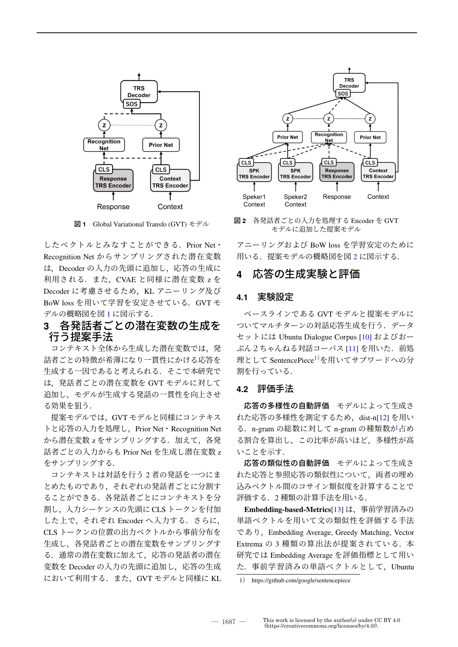

したベクトルとみなすことができる.Prior Net・ Recognition Net からサンプリングされた潜在変数 は,Decoder の入力の先頭に追加し,応答の生成に 利用される. また、CVAE と同様に潜在変数 z を Decoder に考慮させるため、KL アニーリング及び BoW loss を用いて学習を安定させている.GVT モ デルの概略図を図 1 に図示する.

### **3** 各発話者ごとの潜在変数の生成を 行う提案手法

コンテキスト全体から生成した潜在変数では、発 話者ごとの特徴が希薄になり一貫性にかける応答を 生成する一因であると考えられる. そこで本研究で は,発話者ごとの潜在変数を GVT モデルに対して 追加し,モデルが生成する発話の一貫性を向上させ る効果を狙う.

提案モデルでは,GVT モデルと同様にコンテキス トと応答の入力を処理し, Prior Net · Recognition Net から潜在変数 z をサンプリングする. 加えて、各発 話者ごとの入力からも Prior Net を生成し潜在変数 z をサンプリングする.

コンテキストは対話を行う 2 者の発話を一つにま とめたものであり,それぞれの発話者ごとに分割す ることができる.各発話者ごとにコンテキストを分 割し,入力シーケンスの先頭に CLS トークンを付加 した上で、それぞれ Encoder へ入力する. さらに, CLS トークンの位置の出力ベクトルから事前分布を 生成し,各発話者ごとの潜在変数をサンプリングす る.通常の潜在変数に加えて,応答の発話者の潜在 変数を Decoder の入力の先頭に追加し、応答の生成 において利用する.また,GVT モデルと同様に KL



<sup>図</sup> **<sup>1</sup>** Global Variational Transfo (GVT) モデル <sup>図</sup> **<sup>2</sup>** 各発話者ごとの入力を処理する Encoder <sup>を</sup> GVT モデルに追加した提案モデル

アニーリングおよび BoW loss を学習安定のために 用いる. 提案モデルの概略図を図 2 に図示する.

# **4** 応答の生成実験と評価

#### **4.1** 実験設定

ベースラインである GVT モデルと提案モデルに ついてマルチターンの対話応答生成を行う.データ セットには Ubuntu Dialogue Corpus [10] およびおー ぷん2ちゃんねる対話コーパス [11] を用いた. 前処 理として SentencePiece1)を用いてサブワードへの分 割を行っている.

#### **4.2** 評価手法

応答の多様性の自動評価 モデルによって生成さ れた応答の多様性を測定するため, dist-n[12] を用い る.n-gram の総数に対して n-gram の種類数が占め る割合を算出し,この比率が高いほど,多様性が高 いことを示す.

応答の類似性の自動評価 モデルによって生成さ れた応答と参照応答の類似性について,両者の埋め 込みベクトル間のコサイン類似度を計算することで 評価する. 2 種類の計算手法を用いる.

**Embedding-based-Metrics**[13] は,事前学習済みの 単語ベクトルを用いて文の類似性を評価する手法 であり,Embedding Average, Greedy Matching, Vector Extrema の 3 種類の算出法が提案されている. 本 研究では Embedding Average を評価指標として用い た. 事前学習済みの単語ベクトルとして、Ubuntu

<sup>1</sup>) https://github.com/google/sentencepiece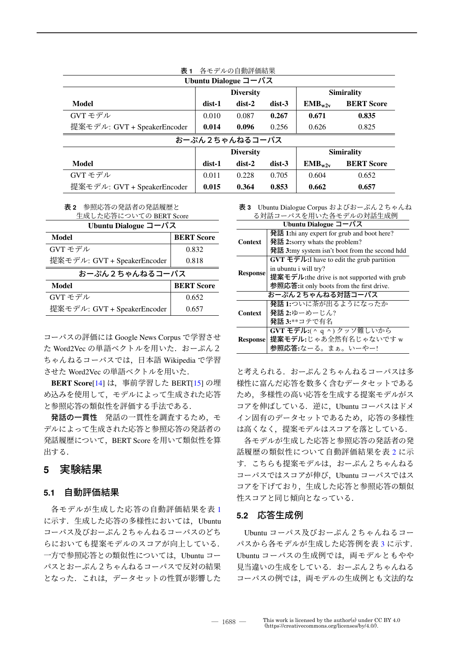| 衣 1<br> 谷七アルの目動評価結果         |                  |          |                   |                   |                   |  |
|-----------------------------|------------------|----------|-------------------|-------------------|-------------------|--|
| Ubuntu Dialogue コーパス        |                  |          |                   |                   |                   |  |
|                             | <b>Diversity</b> |          |                   | <b>Simirality</b> |                   |  |
| Model                       | dist-1           | $dist-2$ | $dist-3$          | $EMB_{w2v}$       | <b>BERT Score</b> |  |
| GVT モデル                     | 0.010            | 0.087    | 0.267             | 0.671             | 0.835             |  |
| 提案モデル: GVT + SpeakerEncoder | 0.014            | 0.096    | 0.256             | 0.626             | 0.825             |  |
| おーぷん2ちゃんねるコーパス              |                  |          |                   |                   |                   |  |
|                             | <b>Diversity</b> |          | <b>Simirality</b> |                   |                   |  |
| Model                       | dist-1           | $dist-2$ | $dist-3$          | $EMB_{w2v}$       | <b>BERT Score</b> |  |
| GVT モデル                     | 0.011            | 0.228    | 0.705             | 0.604             | 0.652             |  |
| 提案モデル: GVT + SpeakerEncoder | 0.015            | 0.364    | 0.853             | 0.662             | 0.657             |  |

表 **1** 各モデルの自動評価結果

表 **2** 参照応答の発話者の発話履歴と

| 生成した応答についての BERT Score                 |                   |  |  |  |
|----------------------------------------|-------------------|--|--|--|
| Ubuntu Dialogue $\Box - \wedge^2 \Box$ |                   |  |  |  |
| Model                                  | <b>BERT Score</b> |  |  |  |
| GVT モデル                                | 0.832             |  |  |  |
| 提案モデル: GVT + SpeakerEncoder            | 0.818             |  |  |  |
| おーぷん2ちゃんねるコーパス                         |                   |  |  |  |
| Model                                  | <b>BERT Score</b> |  |  |  |
| GVT モデル                                | 0.652             |  |  |  |
| 提案モデル: GVT + SpeakerEncoder            | 0.657             |  |  |  |

コーパスの評価には Google News Corpus で学習させ た Word2Vec の単語ベクトルを用いた. おーぷん2 ちゃんねるコーパスでは,日本語 Wikipedia で学習 させた Word2Vec の単語ベクトルを用いた.

**BERT Score**[14] は,事前学習した BERT[15] の埋 め込みを使用して,モデルによって生成された応答 と参照応答の類似性を評価する手法である.

発話の一貫性 発話の一貫性を調査するため、モ デルによって生成された応答と参照応答の発話者の 発話履歴について、BERT Score を用いて類似性を算 出する.

# **5** 実験結果

#### **5.1** 自動評価結果

各モデルが生成した応答の自動評価結果を表 1 に示す. 生成した応答の多様性においては、Ubuntu コーパス及びおーぷん2ちゃんねるコーパスのどち らにおいても提案モデルのスコアが向上している. 一方で参照応答との類似性については,Ubuntu コー パスとおーぷん2ちゃんねるコーパスで反対の結果 となった. これは、データセットの性質が影響した 表 **3** Ubuntu Dialogue Corpus およびおーぷん2ちゃんね る対話コーパスを用いた各モデルの対話生成例

| Ubuntu Dialogue $\overline{\Box} - \angle \angle \overline{\Diamond}$ |                                                                                                           |  |  |
|-----------------------------------------------------------------------|-----------------------------------------------------------------------------------------------------------|--|--|
| Context                                                               | 発話 1:hi any expert for grub and boot here?                                                                |  |  |
|                                                                       | $\mathcal{H}$ 話 2:sorry whats the problem?                                                                |  |  |
|                                                                       | 発話 3:my system isn't boot from the second hdd                                                             |  |  |
| <b>Response</b>                                                       | $\overline{GVT}$ $\overline{\tau}$ $\overline{\tau}$ $\overline{\nu}$ : I have to edit the grub partition |  |  |
|                                                                       | in ubuntu i will try?                                                                                     |  |  |
|                                                                       | 提案モデル:the drive is not supported with grub                                                                |  |  |
|                                                                       | 参照応答: it only boots from the first drive.                                                                 |  |  |
| おーぷん2ちゃんねる対話コーパス                                                      |                                                                                                           |  |  |
| Context                                                               | 発話 1:ついに茶が出るようになったか                                                                                       |  |  |
|                                                                       | 発話 2:ゆーめーじん?                                                                                              |  |  |
|                                                                       | <b>発話 3:**コテで有名</b>                                                                                       |  |  |
| <b>Response</b>                                                       | GVT モデル:( ^ q ^)クッソ難しいから                                                                                  |  |  |
|                                                                       | 提案モデル:じゃあ全然有名じゃないですw                                                                                      |  |  |
|                                                                       | 参照応答:なーる。まぁ。いーやー!                                                                                         |  |  |

と考えられる.おーぷん2ちゃんねるコーパスは多 様性に富んだ応答を数多く含むデータセットである ため,多様性の高い応答を生成する提案モデルがス コアを伸ばしている.逆に,Ubuntu コーパスはドメ イン固有のデータセットであるため、応答の多様性 は高くなく,提案モデルはスコアを落としている.

各モデルが生成した応答と参照応答の発話者の発 話履歴の類似性について自動評価結果を表 2 に示 す. こちらも提案モデルは、おーぷん2ちゃんねる コーパスではスコアが伸び,Ubuntu コーパスではス コアを下げており,生成した応答と参照応答の類似 性スコアと同じ傾向となっている.

#### **5.2** 応答生成例

Ubuntu コーパス及びおーぷん2ちゃんねるコー パスから各モデルが生成した応答例を表3に示す. Ubuntu コーパスの生成例では,両モデルともやや 見当違いの生成をしている.おーぷん2ちゃんねる コーパスの例では、両モデルの生成例とも文法的な